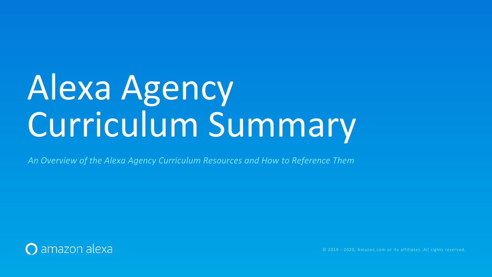# Alexa Agency Curriculum Summary

*An Overview of the Alexa Agency Curriculum Resources and How to Reference Them*



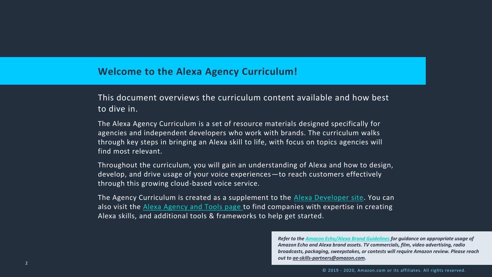### **Welcome to the Alexa Agency Curriculum!**

This document overviews the curriculum content available and how best to dive in.

The Alexa Agency Curriculum is a set of resource materials designed specifically for agencies and independent developers who work with brands. The curriculum walks through key steps in bringing an Alexa skill to life, with focus on topics agencies will find most relevant.

The Agency Curriculum is created as a supplement to the **[Alexa Developer site](https://developer.amazon.com/alexa)**. You can also visit the **Alexa Agency and Tools page** to find companies with expertise in creating Alexa skills, and additional tools & frameworks to help get started.

Throughout the curriculum, you will gain an understanding of Alexa and how to design, develop, and drive usage of your voice experiences—to reach customers effectively through this growing cloud-based voice service.

> *Refer to the [Amazon Echo/Alexa Brand Guidelines f](https://m.media-amazon.com/images/G/01/mobile-apps/dex/alexa/alexa-skills-kit/marketing-guidelines/Echo_Alexa_Guidelines_External.pdf)or guidance on appropriate usage of Amazon Echo and Alexa brand assets. TV commercials, film, video advertising, radio broadcasts, packaging, sweepstakes, or contests will require Amazon review. Please reach out to [ae-skills-partners@amazon.com](mailto:ae-skills-partners@amazon.com).*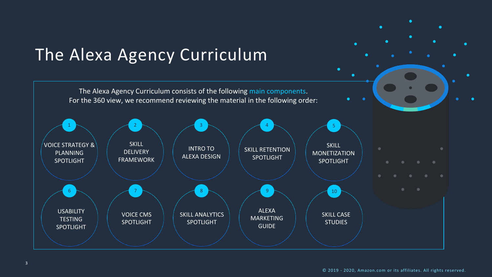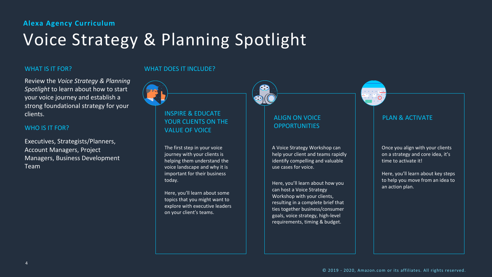

## Voice Strategy & Planning Spotlight

#### WHAT IS IT FOR?

Review the *Voice Strategy & Planning Spotlight* to learn about how to start your voice journey and establish a strong foundational strategy for your clients.

#### WHO IS IT FOR?

Executives, Strategists/Planners, Account Managers, Project Managers, Business Development Team

#### ALIGN ON VOICE **OPPORTUNITIES**

#### INSPIRE & EDUCATE YOUR CLIENTS ON THE VALUE OF VOICE

The first step in your voice journey with your clients is helping them understand the voice landscape and why it is important for their business today.

Here, you'll learn about some topics that you might want to explore with executive leaders on your client's teams.



#### PLAN & ACTIVATE

#### WHAT DOES IT INCLUDE?

A Voice Strategy Workshop can help your client and teams rapidly identify compelling and valuable use cases for voice.

Here, you'll learn about how you can host a Voice Strategy Workshop with your clients, resulting in a complete brief that ties together business/consumer goals, voice strategy, high-level requirements, timing & budget.

Once you align with your clients on a strategy and core idea, it's time to activate it!

Here, you'll learn about key steps to help you move from an idea to an action plan.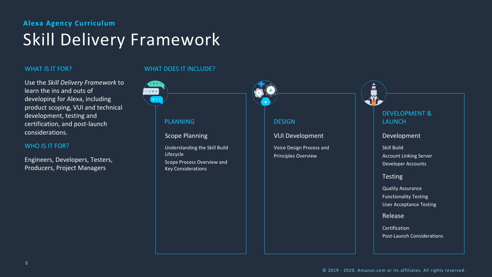

## **Alexa Agency Curriculum** Skill Delivery Framework

#### WHAT IS IT FOR?

Use the *Skill Delivery Framework* to learn the ins and outs of developing for Alexa, including product scoping, VUI and technical development, testing and certification, and post-launch considerations.

#### WHO IS IT FOR?

Engineers, Developers, Testers, Producers, Project Managers

> **Certification** Post-Launch Considerations



#### DEVELOPMENT & LAUNCH

#### Development

Skill Build Account Linking Server Developer Accounts

**Testing** 

Quality Assurance Functionality Testing User Acceptance Testing

Release

#### WHAT DOES IT INCLUDE?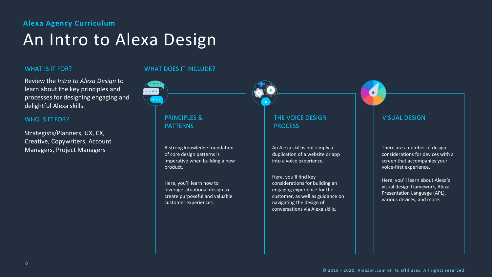## An Intro to Alexa Design

#### WHAT IS IT FOR?

Review the *Intro to Alexa Design* to learn about the key principles and processes for designing engaging and delightful Alexa skills.

#### WHO IS IT FOR?

Strategists/Planners, UX, CX, Creative, Copywriters, Account Managers, Project Managers

### PRINCIPLES & PATTERNS

A strong knowledge foundation of core design patterns is imperative when building a new product.

Here, you'll learn how to leverage situational design to create purposeful and valuable customer experiences.

#### THE VOICE DESIGN PROCESS

#### VISUAL DESIGN

#### WHAT DOES IT INCLUDE?

An Alexa skill is not simply a duplication of a website or app into a voice experience.

Here, you'll find key considerations for building an engaging experience for the customer, as well as guidance on navigating the design of conversations via Alexa skills.

There are a number of design considerations for devices with a screen that accompanies your voice-first experience.

Here, you'll learn about Alexa's visual design framework, Alexa Presentation Language (APL), various devices, and more.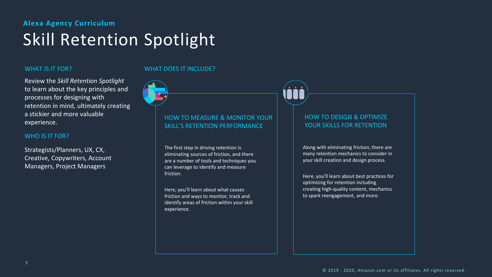### **Alexa Agency Curriculum** Skill Retention Spotlight

#### WHAT IS IT FOR?

Review the *Skill Retention Spotlight*  to learn about the key principles and processes for designing with retention in mind, ultimately creating a stickier and more valuable experience.

#### WHO IS IT FOR?

Strategists/Planners, UX, CX, Creative, Copywriters, Account Managers, Project Managers

#### HOW TO MEASURE & MONITOR YOUR SKILL'S RETENTION PERFORMANCE

The first step in driving retention is eliminating sources of friction, and there are a number of tools and techniques you can leverage to identify and measure friction.

Here, you'll learn about what causes friction and ways to monitor, track and identify areas of friction within your skill experience.



#### HOW TO DESIGN & OPTIMIZE YOUR SKILLS FOR RETENTION

#### WHAT DOES IT INCLUDE?

Along with eliminating friction, there are many retention mechanics to consider in your skill creation and design process.

Here, you'll learn about best practices for optimizing for retention including creating high-quality content, mechanics to spark reengagement, and more.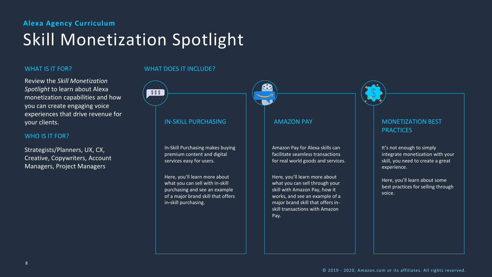

#### AMAZON PAY MONETIZATION BEST **PRACTICES**

## **Alexa Agency Curriculum** Skill Monetization Spotlight

#### WHAT IS IT FOR?

Review the *Skill Monetization Spotlight* to learn about Alexa monetization capabilities and how you can create engaging voice experiences that drive revenue for your clients.

#### WHO IS IT FOR?

Strategists/Planners, UX, CX, Creative, Copywriters, Account Managers, Project Managers

#### IN-SKILL PURCHASING

In-Skill Purchasing makes buying premium content and digital services easy for users.

Here, you'll learn more about what you can sell with in-skill purchasing and see an example of a major brand skill that offers in-skill purchasing.

#### WHAT DOES IT INCLUDE?

 $$ $ $$ 

Amazon Pay for Alexa skills can facilitate seamless transactions for real world goods and services.

Here, you'll learn more about what you can sell through your skill with Amazon Pay, how it works, and see an example of a major brand skill that offers inskill transactions with Amazon Pay.

It's not enough to simply integrate monetization with your skill, you need to create a great experience.

Here, you'll learn about some best practices for selling through voice.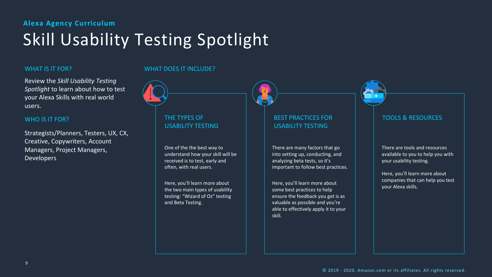## Skill Usability Testing Spotlight

#### WHAT IS IT FOR?

Review the *Skill Usability Testing Spotlight* to learn about how to test your Alexa Skills with real world users.

#### WHO IS IT FOR?

Strategists/Planners, Testers, UX, CX, Creative, Copywriters, Account Managers, Project Managers, Developers

#### THE TYPES OF USABILITY TESTING

One of the the best way to understand how your skill will be received is to test, early and often, with real users.

Here, you'll learn more about the two main types of usability testing: "Wizard of Oz" testing and Beta Testing.

| Ð |  |
|---|--|

#### BEST PRACTICES FOR USABILITY TESTING

#### TOOLS & RESOURCES

#### WHAT DOES IT INCLUDE?

There are many factors that go into setting up, conducting, and analyzing beta tests, so it's important to follow best practices.

Here, you'll learn more about some best practices to help ensure the feedback you get is as valuable as possible and you're able to effectively apply it to your skill.

There are tools and resources available to you to help you with your usability testing.

Here, you'll learn more about companies that can help you test your Alexa skills.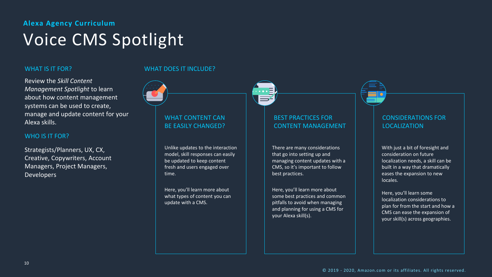

## Voice CMS Spotlight

#### WHAT IS IT FOR?

Review the *Skill Content Management Spotlight* to learn about how content management systems can be used to create, manage and update content for your Alexa skills.

#### WHO IS IT FOR?

Strategists/Planners, UX, CX, Creative, Copywriters, Account Managers, Project Managers, Developers

#### WHAT CONTENT CAN BE EASILY CHANGED?

Unlike updates to the interaction model, skill responses can easily be updated to keep content fresh and users engaged over time.

Here, you'll learn more about what types of content you can update with a CMS.



#### BEST PRACTICES FOR CONTENT MANAGEMENT

#### CONSIDERATIONS FOR LOCALIZATION

#### WHAT DOES IT INCLUDE?

There are many considerations that go into setting up and managing content updates with a CMS, so it's important to follow best practices.

Here, you'll learn more about some best practices and common pitfalls to avoid when managing and planning for using a CMS for your Alexa skill(s).

With just a bit of foresight and consideration on future localization needs, a skill can be built in a way that dramatically eases the expansion to new locales.

Here, you'll learn some localization considerations to plan for from the start and how a CMS can ease the expansion of your skill(s) across geographies.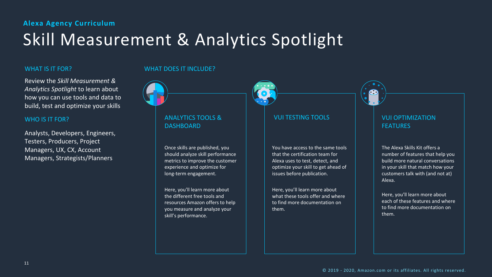

## Skill Measurement & Analytics Spotlight

#### WHAT IS IT FOR?

Review the *Skill Measurement & Analytics Spotlight* to learn about how you can use tools and data to build, test and optimize your skills

#### WHO IS IT FOR?

Analysts, Developers, Engineers, Testers, Producers, Project Managers, UX, CX, Account Managers, Strategists/Planners

#### ANALYTICS TOOLS & DASHBOARD

Once skills are published, you should analyze skill performance metrics to improve the customer experience and optimize for long-term engagement.

Here, you'll learn more about the different free tools and resources Amazon offers to help you measure and analyze your skill's performance.

| $\bullet$ | $\bullet$<br>Ô | $\hspace{0.5cm} \bullet$<br>Ċ. |  |
|-----------|----------------|--------------------------------|--|
|           |                |                                |  |
|           |                |                                |  |
|           |                | г                              |  |
|           |                |                                |  |
|           |                |                                |  |
| c         | н<br>ï         |                                |  |

#### VUI TESTING TOOLS VUI OPTIMIZATION

### FEATURES

#### WHAT DOES IT INCLUDE?

You have access to the same tools that the certification team for Alexa uses to test, detect, and optimize your skill to get ahead of issues before publication.

Here, you'll learn more about what these tools offer and where to find more documentation on them.

The Alexa Skills Kit offers a number of features that help you build more natural conversations in your skill that match how your customers talk with (and not at) Alexa.

Here, you'll learn more about each of these features and where to find more documentation on them.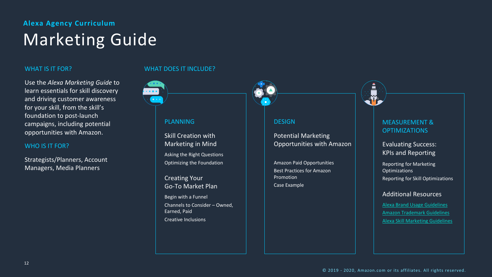

#### PLANNING RANDROM RESIGN REASUREMENT & **OPTIMIZATIONS**

### **Alexa Agency Curriculum** Marketing Guide

#### WHAT IS IT FOR?

Use the *Alexa Marketing Guide* to learn essentials for skill discovery and driving customer awareness for your skill, from the skill's foundation to post-launch campaigns, including potential opportunities with Amazon.

#### WHO IS IT FOR?

Strategists/Planners, Account Managers, Media Planners

Skill Creation with Marketing in Mind

Asking the Right Questions Optimizing the Foundation

Creating Your Go-To Market Plan

Begin with a Funnel Channels to Consider – Owned, Earned, Paid Creative Inclusions



#### Potential Marketing Opportunities with Amazon

Amazon Paid Opportunities Best Practices for Amazon Promotion Case Example

#### Evaluating Success: KPIs and Reporting

Reporting for Marketing **Optimizations** Reporting for Skill Optimizations

#### Additional Resources

#### WHAT DOES IT INCLUDE?

© 2019 - 2020, Amazon.com or its affiliates. All rights reserved.

[Alexa Brand Usage Guidelines](https://m.media-amazon.com/images/G/01/mobile-apps/dex/alexa/alexa-skills-kit/marketing-guidelines/Echo_Alexa_Guidelines_External.pdf) [Amazon Trademark Guidelines](https://www.amazon.com/gp/feature.html?ie=UTF8&docId=1000756331) [Alexa Skill Marketing Guidelines](https://developer.amazon.com/en-US/docs/alexa/faq/alexa-skills-marketing-guidelines.html)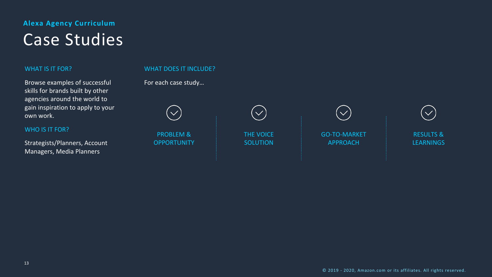

## Case Studies

#### WHAT IS IT FOR?

Browse examples of successful skills for brands built by other agencies around the world to gain inspiration to apply to your own work.

> RESULTS & **LEARNINGS**

#### WHO IS IT FOR?

Strategists/Planners, Account Managers, Media Planners

#### WHAT DOES IT INCLUDE?

For each case study…